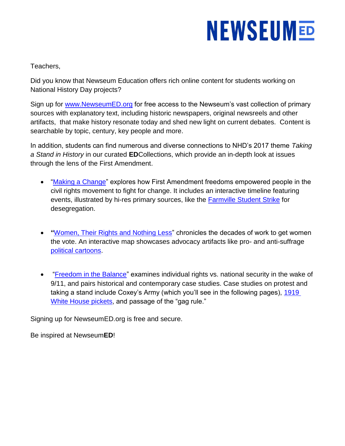Teachers,

Did you know that Newseum Education offers rich online content for students working on National History Day projects?

Sign up for [www.NewseumED.org](http://www.newseumed.org/) for free access to the Newseum's vast collection of primary sources with explanatory text, including historic newspapers, original newsreels and other artifacts, that make history resonate today and shed new light on current debates. Content is searchable by topic, century, key people and more.

In addition, students can find numerous and diverse connections to NHD's 2017 theme *Taking a Stand in History* in our curated **ED**Collections, which provide an in-depth look at issues through the lens of the First Amendment.

- ["Making a Change"](https://newseumed.org/collection/making-a-change-edcollection/) explores how First Amendment freedoms empowered people in the civil rights movement to fight for change. It includes an interactive timeline featuring events, illustrated by hi-res primary sources, like the [Farmville Student Strike](https://newseumed.org/timeline/civil-rights-timeline/?event=43) for desegregation.
- **"**[Women, Their Rights and Nothing Less"](https://newseumed.org/collection/womens-suffrage-edcollection/) chronicles the decades of work to get women the vote. An interactive map showcases advocacy artifacts like pro- and anti-suffrage [political cartoons.](https://newseumed.org/map/womens-suffrage-map/)
- ["Freedom in the Balance"](https://newseumed.org/collection/freedom-in-the-balance/) examines individual rights vs. national security in the wake of 9/11, and pairs historical and contemporary case studies. Case studies on protest and taking a stand include Coxey's Army (which you'll see in the following pages), [1919](https://newseumed.org/casestudy/1917-suffrage-advocates-target-white-house/)  [White House pickets,](https://newseumed.org/casestudy/1917-suffrage-advocates-target-white-house/) and passage of the "gag rule."

Signing up for NewseumED.org is free and secure.

Be inspired at Newseum**ED**!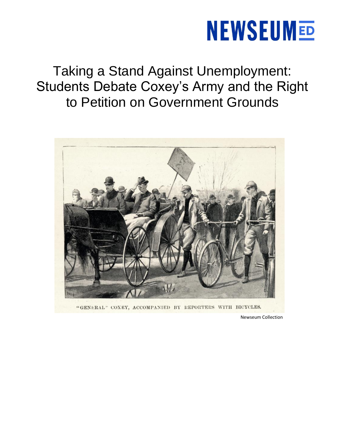Taking a Stand Against Unemployment: Students Debate Coxey's Army and the Right to Petition on Government Grounds



"GENERAL" COXEY, ACCOMPANIED BY REPORTERS WITH BICYCLES.

Newseum Collection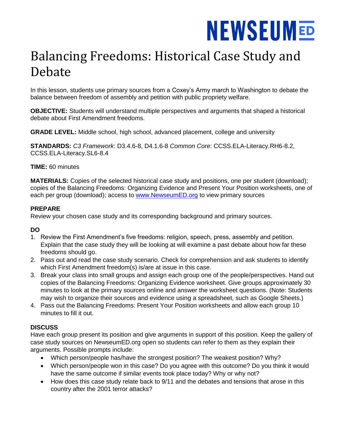### Balancing Freedoms: Historical Case Study and Debate

In this lesson, students use primary sources from a Coxey's Army march to Washington to debate the balance between freedom of assembly and petition with public propriety welfare.

**OBJECTIVE:** Students will understand multiple perspectives and arguments that shaped a historical debate about First Amendment freedoms.

**GRADE LEVEL:** Middle school, high school, advanced placement, college and university

**STANDARDS:** *C3 Framework*: D3.4.6-8, D4.1.6-8 *Common Core*: CCSS.ELA-Literacy.RH6-8.2, CCSS.ELA-Literacy.SL6-8.4

#### **TIME:** 60 minutes

**MATERIALS:** Copies of the selected historical case study and positions, one per student (download); copies of the Balancing Freedoms: Organizing Evidence and Present Your Position worksheets, one of each per group (download); access to [www.NewseumED.org](http://www.newseumed.org/) to view primary sources

#### **PREPARE**

Review your chosen case study and its corresponding background and primary sources.

#### **DO**

- 1. Review the First Amendment's five freedoms: religion, speech, press, assembly and petition. Explain that the case study they will be looking at will examine a past debate about how far these freedoms should go.
- 2. Pass out and read the case study scenario. Check for comprehension and ask students to identify which First Amendment freedom(s) is/are at issue in this case.
- 3. Break your class into small groups and assign each group one of the people/perspectives. Hand out copies of the Balancing Freedoms: Organizing Evidence worksheet. Give groups approximately 30 minutes to look at the primary sources online and answer the worksheet questions. (Note: Students may wish to organize their sources and evidence using a spreadsheet, such as Google Sheets.)
- 4. Pass out the Balancing Freedoms: Present Your Position worksheets and allow each group 10 minutes to fill it out.

#### **DISCUSS**

Have each group present its position and give arguments in support of this position. Keep the gallery of case study sources on NewseumED.org open so students can refer to them as they explain their arguments. Possible prompts include:

- Which person/people has/have the strongest position? The weakest position? Why?
- Which person/people won in this case? Do you agree with this outcome? Do you think it would have the same outcome if similar events took place today? Why or why not?
- How does this case study relate back to 9/11 and the debates and tensions that arose in this country after the 2001 terror attacks?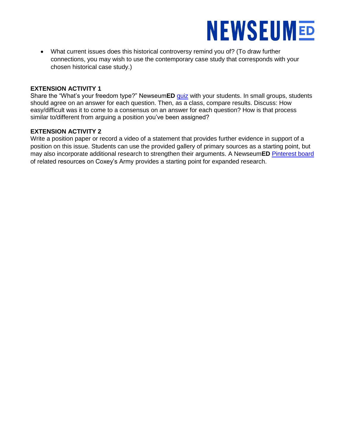

 What current issues does this historical controversy remind you of? (To draw further connections, you may wish to use the contemporary case study that corresponds with your chosen historical case study.)

#### **EXTENSION ACTIVITY 1**

Share the "What's your freedom type?" Newseum**ED** [quiz](https://newseumed.org/take-quiz/take-our-quiz-whats-your-freedom-type/) with your students. In small groups, students should agree on an answer for each question. Then, as a class, compare results. Discuss: How easy/difficult was it to come to a consensus on an answer for each question? How is that process similar to/different from arguing a position you've been assigned?

#### **EXTENSION ACTIVITY 2**

Write a position paper or record a video of a statement that provides further evidence in support of a position on this issue. Students can use the provided gallery of primary sources as a starting point, but may also incorporate additional research to strengthen their arguments. A Newseum**ED** [Pinterest board](https://www.pinterest.com/newseumed/resources-coxeys-army/) of related resources on Coxey's Army provides a starting point for expanded research.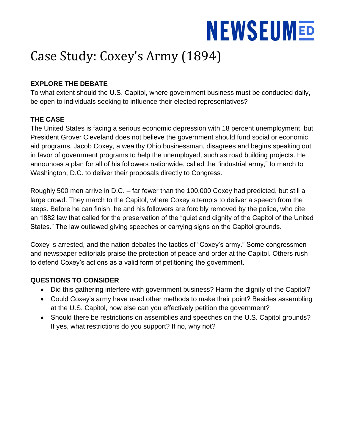### Case Study: Coxey's Army (1894)

### **EXPLORE THE DEBATE**

To what extent should the U.S. Capitol, where government business must be conducted daily, be open to individuals seeking to influence their elected representatives?

### **THE CASE**

The United States is facing a serious economic depression with 18 percent unemployment, but President Grover Cleveland does not believe the government should fund social or economic aid programs. Jacob Coxey, a wealthy Ohio businessman, disagrees and begins speaking out in favor of government programs to help the unemployed, such as road building projects. He announces a plan for all of his followers nationwide, called the "industrial army," to march to Washington, D.C. to deliver their proposals directly to Congress.

Roughly 500 men arrive in D.C. – far fewer than the 100,000 Coxey had predicted, but still a large crowd. They march to the Capitol, where Coxey attempts to deliver a speech from the steps. Before he can finish, he and his followers are forcibly removed by the police, who cite an 1882 law that called for the preservation of the "quiet and dignity of the Capitol of the United States." The law outlawed giving speeches or carrying signs on the Capitol grounds.

Coxey is arrested, and the nation debates the tactics of "Coxey's army." Some congressmen and newspaper editorials praise the protection of peace and order at the Capitol. Others rush to defend Coxey's actions as a valid form of petitioning the government.

### **QUESTIONS TO CONSIDER**

- Did this gathering interfere with government business? Harm the dignity of the Capitol?
- Could Coxey's army have used other methods to make their point? Besides assembling at the U.S. Capitol, how else can you effectively petition the government?
- Should there be restrictions on assemblies and speeches on the U.S. Capitol grounds? If yes, what restrictions do you support? If no, why not?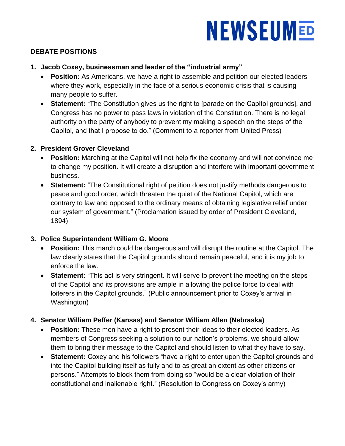### **DEBATE POSITIONS**

- **1. Jacob Coxey, businessman and leader of the "industrial army"**
	- **Position:** As Americans, we have a right to assemble and petition our elected leaders where they work, especially in the face of a serious economic crisis that is causing many people to suffer.
	- **Statement:** "The Constitution gives us the right to [parade on the Capitol grounds], and Congress has no power to pass laws in violation of the Constitution. There is no legal authority on the party of anybody to prevent my making a speech on the steps of the Capitol, and that I propose to do." (Comment to a reporter from United Press)

### **2. President Grover Cleveland**

- **Position:** Marching at the Capitol will not help fix the economy and will not convince me to change my position. It will create a disruption and interfere with important government business.
- **Statement:** "The Constitutional right of petition does not justify methods dangerous to peace and good order, which threaten the quiet of the National Capitol, which are contrary to law and opposed to the ordinary means of obtaining legislative relief under our system of government." (Proclamation issued by order of President Cleveland, 1894)

### **3. Police Superintendent William G. Moore**

- **Position:** This march could be dangerous and will disrupt the routine at the Capitol. The law clearly states that the Capitol grounds should remain peaceful, and it is my job to enforce the law.
- **Statement:** "This act is very stringent. It will serve to prevent the meeting on the steps of the Capitol and its provisions are ample in allowing the police force to deal with loiterers in the Capitol grounds." (Public announcement prior to Coxey's arrival in Washington)

### **4. Senator William Peffer (Kansas) and Senator William Allen (Nebraska)**

- **Position:** These men have a right to present their ideas to their elected leaders. As members of Congress seeking a solution to our nation's problems, we should allow them to bring their message to the Capitol and should listen to what they have to say.
- **Statement:** Coxey and his followers "have a right to enter upon the Capitol grounds and into the Capitol building itself as fully and to as great an extent as other citizens or persons." Attempts to block them from doing so "would be a clear violation of their constitutional and inalienable right." (Resolution to Congress on Coxey's army)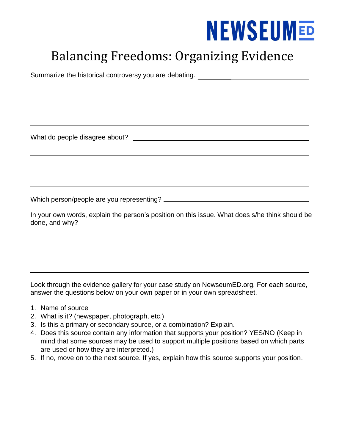### Balancing Freedoms: Organizing Evidence

Summarize the historical controversy you are debating.

What do people disagree about?

Which person/people are you representing?

In your own words, explain the person's position on this issue. What does s/he think should be done, and why?

Look through the evidence gallery for your case study on NewseumED.org. For each source, answer the questions below on your own paper or in your own spreadsheet.

- 1. Name of source
- 2. What is it? (newspaper, photograph, etc.)
- 3. Is this a primary or secondary source, or a combination? Explain.
- 4. Does this source contain any information that supports your position? YES/NO (Keep in mind that some sources may be used to support multiple positions based on which parts are used or how they are interpreted.)
- 5. If no, move on to the next source. If yes, explain how this source supports your position.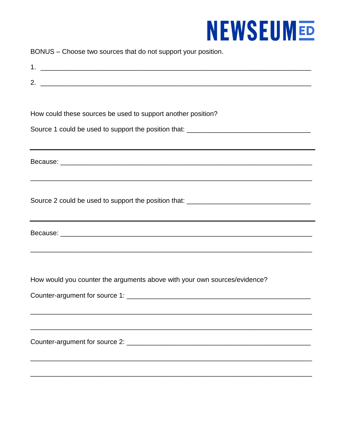| BONUS - Choose two sources that do not support your position. |  |  |  |  |
|---------------------------------------------------------------|--|--|--|--|
|---------------------------------------------------------------|--|--|--|--|

| How could these sources be used to support another position?                      |
|-----------------------------------------------------------------------------------|
| Source 1 could be used to support the position that: ____________________________ |
|                                                                                   |
|                                                                                   |
|                                                                                   |
| ,我们也不能在这里的时候,我们也不能在这里的时候,我们也不能在这里的时候,我们也不能会不能在这里的时候,我们也不能会不能会不能会不能会不能会不能会不能会不能会不  |
| Source 2 could be used to support the position that: ____________________________ |
|                                                                                   |
| ,我们也不会有什么。""我们的人,我们也不会有什么?""我们的人,我们也不会有什么?""我们的人,我们也不会有什么?""我们的人,我们也不会有什么?""我们的人  |
|                                                                                   |
|                                                                                   |
|                                                                                   |
| How would you counter the arguments above with your own sources/evidence?         |
|                                                                                   |
|                                                                                   |
|                                                                                   |
|                                                                                   |
|                                                                                   |
|                                                                                   |
|                                                                                   |
|                                                                                   |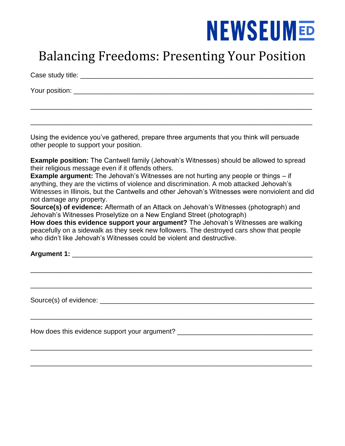### Balancing Freedoms: Presenting Your Position

\_\_\_\_\_\_\_\_\_\_\_\_\_\_\_\_\_\_\_\_\_\_\_\_\_\_\_\_\_\_\_\_\_\_\_\_\_\_\_\_\_\_\_\_\_\_\_\_\_\_\_\_\_\_\_\_\_\_\_\_\_\_\_\_\_\_\_\_\_\_\_\_\_\_\_

\_\_\_\_\_\_\_\_\_\_\_\_\_\_\_\_\_\_\_\_\_\_\_\_\_\_\_\_\_\_\_\_\_\_\_\_\_\_\_\_\_\_\_\_\_\_\_\_\_\_\_\_\_\_\_\_\_\_\_\_\_\_\_\_\_\_\_\_\_\_\_\_\_\_\_

Case study title: \_\_\_\_\_\_\_\_\_\_\_\_\_\_\_\_\_\_\_\_\_\_\_\_\_\_\_\_\_\_\_\_\_\_\_\_\_\_\_\_\_\_\_\_\_\_\_\_\_\_\_\_\_\_\_\_\_\_\_\_\_\_

Your position: \_\_\_\_\_\_\_\_\_\_\_\_\_\_\_\_\_\_\_\_\_\_\_\_\_\_\_\_\_\_\_\_\_\_\_\_\_\_\_\_\_\_\_\_\_\_\_\_\_\_\_\_\_\_\_\_\_\_\_\_\_\_\_\_

Using the evidence you've gathered, prepare three arguments that you think will persuade other people to support your position.

**Example position:** The Cantwell family (Jehovah's Witnesses) should be allowed to spread their religious message even if it offends others.

**Example argument:** The Jehovah's Witnesses are not hurting any people or things – if anything, they are the victims of violence and discrimination. A mob attacked Jehovah's Witnesses in Illinois, but the Cantwells and other Jehovah's Witnesses were nonviolent and did not damage any property.

**Source(s) of evidence:** Aftermath of an Attack on Jehovah's Witnesses (photograph) and Jehovah's Witnesses Proselytize on a New England Street (photograph)

**How does this evidence support your argument?** The Jehovah's Witnesses are walking peacefully on a sidewalk as they seek new followers. The destroyed cars show that people who didn't like Jehovah's Witnesses could be violent and destructive.

\_\_\_\_\_\_\_\_\_\_\_\_\_\_\_\_\_\_\_\_\_\_\_\_\_\_\_\_\_\_\_\_\_\_\_\_\_\_\_\_\_\_\_\_\_\_\_\_\_\_\_\_\_\_\_\_\_\_\_\_\_\_\_\_\_\_\_\_\_\_\_\_\_\_\_

\_\_\_\_\_\_\_\_\_\_\_\_\_\_\_\_\_\_\_\_\_\_\_\_\_\_\_\_\_\_\_\_\_\_\_\_\_\_\_\_\_\_\_\_\_\_\_\_\_\_\_\_\_\_\_\_\_\_\_\_\_\_\_\_\_\_\_\_\_\_\_\_\_\_\_

\_\_\_\_\_\_\_\_\_\_\_\_\_\_\_\_\_\_\_\_\_\_\_\_\_\_\_\_\_\_\_\_\_\_\_\_\_\_\_\_\_\_\_\_\_\_\_\_\_\_\_\_\_\_\_\_\_\_\_\_\_\_\_\_\_\_\_\_\_\_\_\_\_\_\_

\_\_\_\_\_\_\_\_\_\_\_\_\_\_\_\_\_\_\_\_\_\_\_\_\_\_\_\_\_\_\_\_\_\_\_\_\_\_\_\_\_\_\_\_\_\_\_\_\_\_\_\_\_\_\_\_\_\_\_\_\_\_\_\_\_\_\_\_\_\_\_\_\_\_\_

\_\_\_\_\_\_\_\_\_\_\_\_\_\_\_\_\_\_\_\_\_\_\_\_\_\_\_\_\_\_\_\_\_\_\_\_\_\_\_\_\_\_\_\_\_\_\_\_\_\_\_\_\_\_\_\_\_\_\_\_\_\_\_\_\_\_\_\_\_\_\_\_\_\_\_

**Argument 1: And the set of the set of the set of the set of the set of the set of the set of the set of the set of the set of the set of the set of the set of the set of the set of the set of the set of the set of the s** 

Source(s) of evidence: \_\_\_\_\_\_\_\_\_\_\_\_\_\_\_\_\_\_\_\_\_\_\_\_\_\_\_\_\_\_\_\_\_\_\_\_\_\_\_\_\_\_\_\_\_\_\_\_\_\_\_\_\_\_\_\_\_

How does this evidence support your argument? \_\_\_\_\_\_\_\_\_\_\_\_\_\_\_\_\_\_\_\_\_\_\_\_\_\_\_\_\_\_\_\_\_\_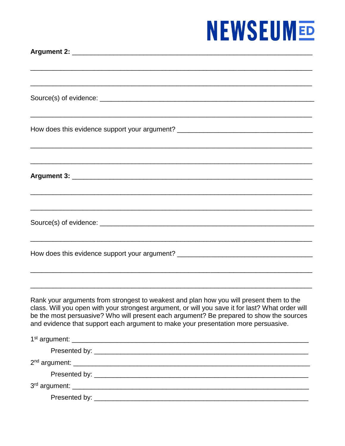| How does this evidence support your argument? __________________________________                                                                                                                                                                                                                                                                                             |
|------------------------------------------------------------------------------------------------------------------------------------------------------------------------------------------------------------------------------------------------------------------------------------------------------------------------------------------------------------------------------|
| <u> 1999 - 1999 - 1999 - 1999 - 1999 - 1999 - 1999 - 1999 - 1999 - 1999 - 1999 - 1999 - 1999 - 1999 - 1999 - 199</u>                                                                                                                                                                                                                                                         |
|                                                                                                                                                                                                                                                                                                                                                                              |
|                                                                                                                                                                                                                                                                                                                                                                              |
| ,一个人的人都是一个人的人,我们就是一个人的人,我们就是一个人的人,我们就是一个人的人,我们就是一个人的人,我们就是一个人的人,我们就是一个人的人,我们就是一个人                                                                                                                                                                                                                                                                                            |
|                                                                                                                                                                                                                                                                                                                                                                              |
|                                                                                                                                                                                                                                                                                                                                                                              |
|                                                                                                                                                                                                                                                                                                                                                                              |
| How does this evidence support your argument? __________________________________                                                                                                                                                                                                                                                                                             |
|                                                                                                                                                                                                                                                                                                                                                                              |
|                                                                                                                                                                                                                                                                                                                                                                              |
| Rank your arguments from strongest to weakest and plan how you will present them to the<br>class. Will you open with your strongest argument, or will you save it for last? What order will<br>be the most persuasive? Who will present each argument? Be prepared to show the sources<br>and evidence that support each argument to make your presentation more persuasive. |
|                                                                                                                                                                                                                                                                                                                                                                              |
|                                                                                                                                                                                                                                                                                                                                                                              |
|                                                                                                                                                                                                                                                                                                                                                                              |
|                                                                                                                                                                                                                                                                                                                                                                              |
|                                                                                                                                                                                                                                                                                                                                                                              |
|                                                                                                                                                                                                                                                                                                                                                                              |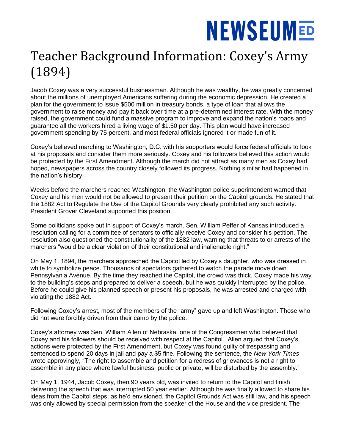### Teacher Background Information: Coxey's Army (1894)

Jacob Coxey was a very successful businessman. Although he was wealthy, he was greatly concerned about the millions of unemployed Americans suffering during the economic depression. He created a plan for the government to issue \$500 million in treasury bonds, a type of loan that allows the government to raise money and pay it back over time at a pre-determined interest rate. With the money raised, the government could fund a massive program to improve and expand the nation's roads and guarantee all the workers hired a living wage of \$1.50 per day. This plan would have increased government spending by 75 percent, and most federal officials ignored it or made fun of it.

Coxey's believed marching to Washington, D.C. with his supporters would force federal officials to look at his proposals and consider them more seriously. Coxey and his followers believed this action would be protected by the First Amendment. Although the march did not attract as many men as Coxey had hoped, newspapers across the country closely followed its progress. Nothing similar had happened in the nation's history.

Weeks before the marchers reached Washington, the Washington police superintendent warned that Coxey and his men would not be allowed to present their petition on the Capitol grounds. He stated that the 1882 Act to Regulate the Use of the Capitol Grounds very clearly prohibited any such activity. President Grover Cleveland supported this position.

Some politicians spoke out in support of Coxey's march. Sen. William Peffer of Kansas introduced a resolution calling for a committee of senators to officially receive Coxey and consider his petition. The resolution also questioned the constitutionality of the 1882 law, warning that threats to or arrests of the marchers "would be a clear violation of their constitutional and inalienable right."

On May 1, 1894, the marchers approached the Capitol led by Coxey's daughter, who was dressed in white to symbolize peace. Thousands of spectators gathered to watch the parade move down Pennsylvania Avenue. By the time they reached the Capitol, the crowd was thick. Coxey made his way to the building's steps and prepared to deliver a speech, but he was quickly interrupted by the police. Before he could give his planned speech or present his proposals, he was arrested and charged with violating the 1882 Act.

Following Coxey's arrest, most of the members of the "army" gave up and left Washington. Those who did not were forcibly driven from their camp by the police.

Coxey's attorney was Sen. William Allen of Nebraska, one of the Congressmen who believed that Coxey and his followers should be received with respect at the Capitol. Allen argued that Coxey's actions were protected by the First Amendment, but Coxey was found guilty of trespassing and sentenced to spend 20 days in jail and pay a \$5 fine. Following the sentence, the *New York Times*  wrote approvingly, "The right to assemble and petition for a redress of grievances is not a right to assemble in any place where lawful business, public or private, will be disturbed by the assembly."

On May 1, 1944, Jacob Coxey, then 90 years old, was invited to return to the Capitol and finish delivering the speech that was interrupted 50 year earlier. Although he was finally allowed to share his ideas from the Capitol steps, as he'd envisioned, the Capitol Grounds Act was still law, and his speech was only allowed by special permission from the speaker of the House and the vice president. The